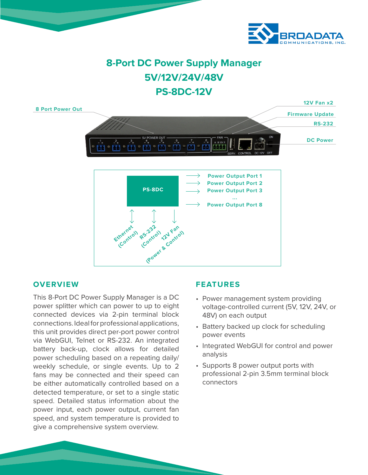

**12V Fan x2**

# **8-Port DC Power Supply Manager 5V/12V/24V/48V PS-8DC-12V**

 $^{\circ}$  M

 $^{\circ}$  M

 $^{\circ}$   $\Box$ 

**8 Port Power Out**

**Firmware Update RS-232 DC Power**



# **OVERVIEW**

This 8-Port DC Power Supply Manager is a DC power splitter which can power to up to eight connected devices via 2-pin terminal block connections. Ideal for professional applications, this unit provides direct per-port power control via WebGUI, Telnet or RS-232. An integrated battery back-up, clock allows for detailed power scheduling based on a repeating daily/ weekly schedule, or single events. Up to 2 fans may be connected and their speed can be either automatically controlled based on a detected temperature, or set to a single static speed. Detailed status information about the power input, each power output, current fan speed, and system temperature is provided to give a comprehensive system overview.

m

 $^{\circ}$  M

 $\cdot$  m

# **FEATURES**

- Power management system providing voltage-controlled current (5V, 12V, 24V, or 48V) on each output
- Battery backed up clock for scheduling power events
- Integrated WebGUI for control and power analysis
- Supports 8 power output ports with professional 2-pin 3.5mm terminal block connectors